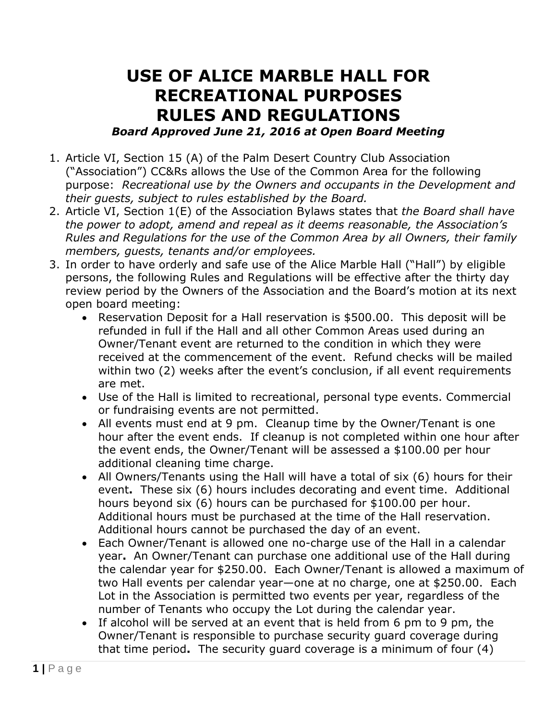## **USE OF ALICE MARBLE HALL FOR RECREATIONAL PURPOSES RULES AND REGULATIONS** *Board Approved June 21, 2016 at Open Board Meeting*

- 1. Article VI, Section 15 (A) of the Palm Desert Country Club Association ("Association") CC&Rs allows the Use of the Common Area for the following purpose: *Recreational use by the Owners and occupants in the Development and their guests, subject to rules established by the Board.*
- 2. Article VI, Section 1(E) of the Association Bylaws states that *the Board shall have the power to adopt, amend and repeal as it deems reasonable, the Association's Rules and Regulations for the use of the Common Area by all Owners, their family members, guests, tenants and/or employees.*
- 3. In order to have orderly and safe use of the Alice Marble Hall ("Hall") by eligible persons, the following Rules and Regulations will be effective after the thirty day review period by the Owners of the Association and the Board's motion at its next open board meeting:
	- Reservation Deposit for a Hall reservation is \$500.00. This deposit will be refunded in full if the Hall and all other Common Areas used during an Owner/Tenant event are returned to the condition in which they were received at the commencement of the event. Refund checks will be mailed within two (2) weeks after the event's conclusion, if all event requirements are met.
	- Use of the Hall is limited to recreational, personal type events. Commercial or fundraising events are not permitted.
	- All events must end at 9 pm. Cleanup time by the Owner/Tenant is one hour after the event ends. If cleanup is not completed within one hour after the event ends, the Owner/Tenant will be assessed a \$100.00 per hour additional cleaning time charge.
	- All Owners/Tenants using the Hall will have a total of six (6) hours for their event**.** These six (6) hours includes decorating and event time. Additional hours beyond six (6) hours can be purchased for \$100.00 per hour. Additional hours must be purchased at the time of the Hall reservation. Additional hours cannot be purchased the day of an event.
	- Each Owner/Tenant is allowed one no-charge use of the Hall in a calendar year**.** An Owner/Tenant can purchase one additional use of the Hall during the calendar year for \$250.00. Each Owner/Tenant is allowed a maximum of two Hall events per calendar year—one at no charge, one at \$250.00. Each Lot in the Association is permitted two events per year, regardless of the number of Tenants who occupy the Lot during the calendar year.
	- If alcohol will be served at an event that is held from 6 pm to 9 pm, the Owner/Tenant is responsible to purchase security guard coverage during that time period**.** The security guard coverage is a minimum of four (4)